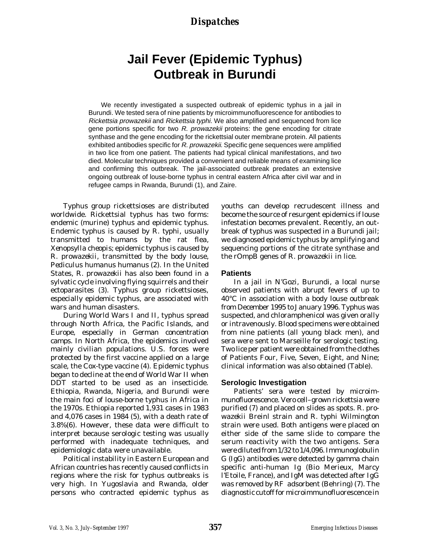# **Jail Fever (Epidemic Typhus) Outbreak in Burundi**

We recently investigated a suspected outbreak of epidemic typhus in a jail in Burundi. We tested sera of nine patients by microimmunofluorescence for antibodies to Rickettsia prowazekii and Rickettsia typhi. We also amplified and sequenced from lice gene portions specific for two R. prowazekii proteins: the gene encoding for citrate synthase and the gene encoding for the rickettsial outer membrane protein. All patients exhibited antibodies specific for R. prowazekii. Specific gene sequences were amplified in two lice from one patient. The patients had typical clinical manifestations, and two died. Molecular techniques provided a convenient and reliable means of examining lice and confirming this outbreak. The jail-associated outbreak predates an extensive ongoing outbreak of louse-borne typhus in central eastern Africa after civil war and in refugee camps in Rwanda, Burundi (1), and Zaire.

Typhus group rickettsioses are distributed worldwide. Rickettsial typhus has two forms: endemic (murine) typhus and epidemic typhus. Endemic typhus is caused by *R. typhi*, usually transmitted to humans by the rat flea, *Xenopsylla cheopis*; epidemic typhus is caused by *R. prowazekii*, transmitted by the body louse, *Pediculus humanus humanus* (2). In the United States, *R. prowazekii* has also been found in a sylvatic cycle involving flying squirrels and their ectoparasites (3). Typhus group rickettsioses, especially epidemic typhus, are associated with wars and human disasters.

During World Wars I and II, typhus spread through North Africa, the Pacific Islands, and Europe, especially in German concentration camps. In North Africa, the epidemics involved mainly civilian populations. U.S. forces were protected by the first vaccine applied on a large scale, the Cox-type vaccine (4). Epidemic typhus began to decline at the end of World War II when DDT started to be used as an insecticide. Ethiopia, Rwanda, Nigeria, and Burundi were the main foci of louse-borne typhus in Africa in the 1970s. Ethiopia reported 1,931 cases in 1983 and 4,076 cases in 1984 (5), with a death rate of 3.8%(6). However, these data were difficult to interpret because serologic testing was usually performed with inadequate techniques, and epidemiologic data were unavailable.

Political instability in Eastern European and African countries has recently caused conflicts in regions where the risk for typhus outbreaks is very high. In Yugoslavia and Rwanda, older persons who contracted epidemic typhus as

youths can develop recrudescent illness and become the source of resurgent epidemics if louse infestation becomes prevalent. Recently, an outbreak of typhus was suspected in a Burundi jail; we diagnosed epidemic typhus by amplifying and sequencing portions of the citrate synthase and the rOmpB genes of *R. prowazekii* in lice.

### **Patients**

In a jail in N'Gozi, Burundi, a local nurse observed patients with abrupt fevers of up to 40°C in association with a body louse outbreak from December 1995 to January 1996. Typhus was suspected, and chloramphenicol was given orally or intravenously. Blood specimens were obtained from nine patients (all young black men), and sera were sent to Marseille for serologic testing. Two lice per patient were obtained from the clothes of Patients Four, Five, Seven, Eight, and Nine; clinical information was also obtained (Table).

### **Serologic Investigation**

Patients' sera were tested by microimmunofluorescence. Vero cell–grown rickettsia were purified (7) and placed on slides as spots. *R. prowazekii* Breinl strain and *R. typhi* Wilmington strain were used. Both antigens were placed on either side of the same slide to compare the serum reactivity with the two antigens. Sera were diluted from 1/32 to 1/4,096. Immunoglobulin G (IgG) antibodies were detected by gamma chain specific anti-human Ig (Bio Merieux, Marcy l'Etoile, France), and IgM was detected after IgG was removed by RF adsorbent (Behring) (7). The diagnostic cutoff for microimmunofluorescence in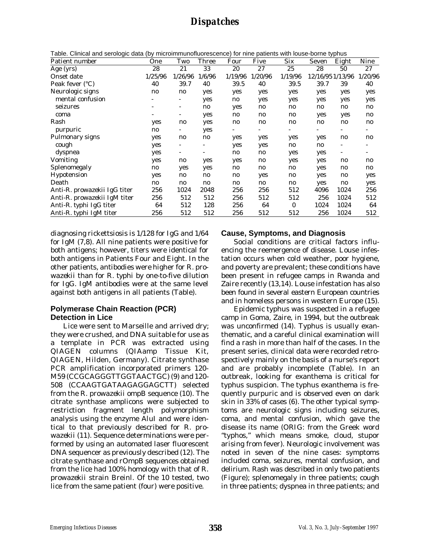Table. Clinical and serologic data (by microimmunofluorescence) for nine patients with louse-borne typhus

| i apie. Cimical and serologic data (by microimmunofluorescence) for nine patients with louse-borne typnus |                          |              |              |         |              |              |       |                        |
|-----------------------------------------------------------------------------------------------------------|--------------------------|--------------|--------------|---------|--------------|--------------|-------|------------------------|
| One                                                                                                       | Two                      | <b>Three</b> | Four         | Five    | <b>Six</b>   | Seven        | Eight | Nine                   |
| 28                                                                                                        | 21                       | 33           | 20           | 27      | 25           | 28           | 50    | 27                     |
| 1/25/96                                                                                                   | 1/26/96                  | 1/6/96       | 1/19/96      | 1/20/96 | 1/19/96      |              |       | 1/20/96                |
| 40                                                                                                        | 39.7                     | 40           | 39.5         | 40      | 39.5         | 39.7         | 39    | 40                     |
| no                                                                                                        | n0                       | yes          | yes          | yes     | yes          | yes          | yes   | yes                    |
|                                                                                                           |                          | yes          | no           | yes     | yes          | yes          | yes   | yes                    |
| ۰                                                                                                         | $\overline{\phantom{a}}$ | $\mathbf{n}$ | yes          | n0      | $\mathbf{n}$ | $\mathbf{n}$ | n0    | n0                     |
|                                                                                                           |                          | yes          | n0           | n0      | n0           | yes          | yes   | no                     |
| yes                                                                                                       | no                       | yes          | n0           | n0      | $\mathbf{n}$ | n0           | n0    | $\mathbf{n}\mathbf{o}$ |
| $\mathbf{n}$                                                                                              |                          | yes          | -            |         | -            | ۰            |       | ۰                      |
| yes                                                                                                       | n0                       | no           | yes          | yes     | yes          | yes          | n0    | $\mathbf{n}$           |
| yes                                                                                                       |                          |              | yes          | yes     | n0           | no           |       |                        |
| yes                                                                                                       |                          |              | n0           | no      | yes          | yes          |       |                        |
| yes                                                                                                       | n0                       | yes          | yes          | no      | yes          | yes          | n0    | n0                     |
| no                                                                                                        | yes                      | yes          | n0           | no      | n0           | yes          | n0    | no                     |
| yes                                                                                                       | n0                       | no           | n0           | yes     | n0           | yes          | n0    | yes                    |
| no                                                                                                        | no                       | n0           | $\mathbf{n}$ | no      | no           | yes          | no    | yes                    |
| 256                                                                                                       | 1024                     | 2048         | 256          | 256     | 512          | 4096         | 1024  | 256                    |
| 256                                                                                                       | 512                      | 512          | 256          | 512     | 512          | 256          | 1024  | 512                    |
| 64                                                                                                        | 512                      | 128          | 256          | 64      | $\mathbf{0}$ | 1024         | 1024  | 64                     |
| 256                                                                                                       | 512                      | 512          | 256          | 512     | 512          | 256          | 1024  | 512                    |
|                                                                                                           |                          |              |              |         |              |              |       | 12/16/95 1/13/96       |

diagnosing rickettsiosis is 1/128 for IgG and 1/64 for IgM (7,8). All nine patients were positive for both antigens; however, titers were identical for both antigens in Patients Four and Eight. In the other patients, antibodies were higher for *R. prowazekii* than for *R. typhi* by one-to-five dilution for IgG. IgM antibodies were at the same level against both antigens in all patients (Table).

### **Polymerase Chain Reaction (PCR) Detection in Lice**

Lice were sent to Marseille and arrived dry; they were crushed, and DNA suitable for use as a template in PCR was extracted using QIAGEN columns (QIAamp Tissue Kit, QIAGEN, Hilden, Germany). Citrate synthase PCR amplification incorporated primers 120- M59 (CCGCAGGGTTGGTAACTGC) (9) and 120- 508 (CCAAGTGATAAGAGGAGCTT) selected from the *R. prowazekii omp*B sequence (10). The citrate synthase amplicons were subjected to restriction fragment length polymorphism analysis using the enzyme *AluI* and were identical to that previously described for *R. prowazekii* (11). Sequence determinations were performed by using an automated laser fluorescent DNA sequencer as previously described (12). The citrate synthase and rOmpB sequences obtained from the lice had 100% homology with that of *R. prowazekii* strain Breinl. Of the 10 tested, two lice from the same patient (four) were positive.

### **Cause, Symptoms, and Diagnosis**

Social conditions are critical factors influencing the reemergence of disease. Louse infestation occurs when cold weather, poor hygiene, and poverty are prevalent; these conditions have been present in refugee camps in Rwanda and Zaire recently (13,14). Louse infestation has also been found in several eastern European countries and in homeless persons in western Europe (15).

Epidemic typhus was suspected in a refugee camp in Goma, Zaire, in 1994, but the outbreak was unconfirmed (14). Typhus is usually exanthematic, and a careful clinical examination will find a rash in more than half of the cases. In the present series, clinical data were recorded retrospectively mainly on the basis of a nurse's report and are probably incomplete (Table). In an outbreak, looking for exanthema is critical for typhus suspicion. The typhus exanthema is frequently purpuric and is observed even on dark skin in 33% of cases (6). The other typical symptoms are neurologic signs including seizures, coma, and mental confusion, which gave the disease its name (ORIG: from the Greek word "typhos," which means smoke, cloud, stupor arising from fever). Neurologic involvement was noted in seven of the nine cases: symptoms included coma, seizures, mental confusion, and delirium. Rash was described in only two patients (Figure); splenomegaly in three patients; cough in three patients; dyspnea in three patients; and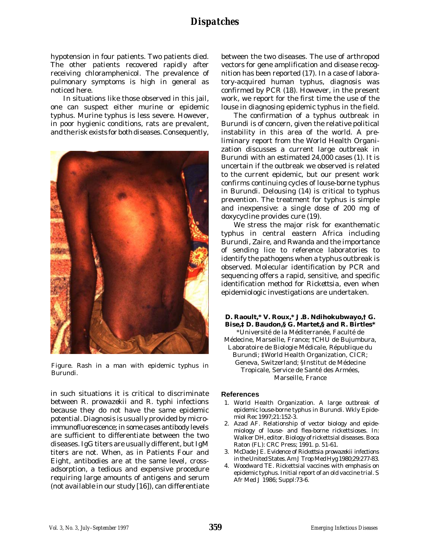hypotension in four patients. Two patients died. The other patients recovered rapidly after receiving chloramphenicol. The prevalence of pulmonary symptoms is high in general as noticed here.

In situations like those observed in this jail, one can suspect either murine or epidemic typhus. Murine typhus is less severe. However, in poor hygienic conditions, rats are prevalent, and the risk exists for both diseases. Consequently,



Figure. Rash in a man with epidemic typhus in Burundi.

in such situations it is critical to discriminate between *R. prowazekii* and *R. typhi* infections because they do not have the same epidemic potential. Diagnosis is usually provided by microimmunofluorescence; in some cases antibody levels are sufficient to differentiate between the two diseases. IgG titers are usually different, but IgM titers are not. When, as in Patients Four and Eight, antibodies are at the same level, crossadsorption, a tedious and expensive procedure requiring large amounts of antigens and serum (not available in our study [16]), can differentiate between the two diseases. The use of arthropod vectors for gene amplification and disease recognition has been reported (17). In a case of laboratory-acquired human typhus, diagnosis was confirmed by PCR (18). However, in the present work, we report for the first time the use of the louse in diagnosing epidemic typhus in the field.

The confirmation of a typhus outbreak in Burundi is of concern, given the relative political instability in this area of the world. A preliminary report from the World Health Organization discusses a current large outbreak in Burundi with an estimated 24,000 cases (1). It is uncertain if the outbreak we observed is related to the current epidemic, but our present work confirms continuing cycles of louse-borne typhus in Burundi. Delousing (14) is critical to typhus prevention. The treatment for typhus is simple and inexpensive: a single dose of 200 mg of doxycycline provides cure (19).

We stress the major risk for exanthematic typhus in central eastern Africa including Burundi, Zaire, and Rwanda and the importance of sending lice to reference laboratories to identify the pathogens when a typhus outbreak is observed. Molecular identification by PCR and sequencing offers a rapid, sensitive, and specific identification method for *Rickettsia,* even when epidemiologic investigations are undertaken.

**D. Raoult,\* V. Roux,\* J.B. Ndihokubwayo,† G. Bise,‡ D. Baudon,§ G. Martet,§ and R. Birtles\*** \*Université de la Méditerranée, Faculté de Médecine, Marseille, France; †CHU de Bujumbura, Laboratoire de Biologie Médicale, République du Burundi; ‡World Health Organization, CICR; Geneva, Switzerland; §Institut de Médecine Tropicale, Service de Santé des Armées, Marseille, France

### **References**

- 1. World Health Organization. A large outbreak of epidemic louse-borne typhus in Burundi. Wkly Epidemiol Rec 1997;21:152-3.
- 2. Azad AF. Relationship of vector biology and epidemiology of louse- and flea-borne rickettsioses. In: Walker DH, editor. Biology of rickettsial diseases. Boca Raton (FL): CRC Press; 1991. p. 51-61.
- 3. McDade JE. Evidence of *Rickettsia prowazekii* infections in the United States. Am J Trop Med Hyg 1980;29:277-83.
- 4. Woodward TE. Rickettsial vaccines with emphasis on epidemic typhus. Initial report of an old vaccine trial. S Afr Med J 1986; Suppl:73-6.